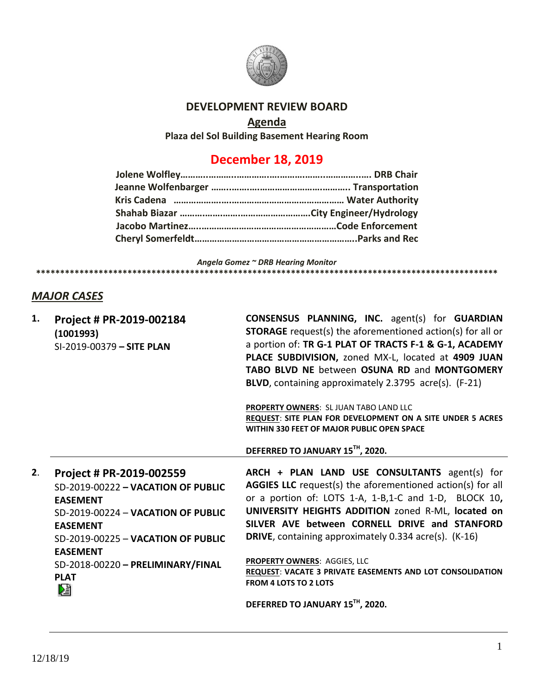

## **DEVELOPMENT REVIEW BOARD**

# **Agenda**

**Plaza del Sol Building Basement Hearing Room**

# **December 18, 2019**

*Angela Gomez ~ DRB Hearing Monitor* **\*\*\*\*\*\*\*\*\*\*\*\*\*\*\*\*\*\*\*\*\*\*\*\*\*\*\*\*\*\*\*\*\*\*\*\*\*\*\*\*\*\*\*\*\*\*\*\*\*\*\*\*\*\*\*\*\*\*\*\*\*\*\*\*\*\*\*\*\*\*\*\*\*\*\*\*\*\*\*\*\*\*\*\*\*\*\*\*\*\*\*\*\*\*\*\***

## *MAJOR CASES*

| 1. | Project # PR-2019-002184<br>(1001993)<br>SI-2019-00379 - SITE PLAN                                                                                                                                                                                           | <b>CONSENSUS PLANNING, INC.</b> agent(s) for <b>GUARDIAN</b><br><b>STORAGE</b> request(s) the aforementioned action(s) for all or<br>a portion of: TR G-1 PLAT OF TRACTS F-1 & G-1, ACADEMY<br>PLACE SUBDIVISION, zoned MX-L, located at 4909 JUAN<br><b>TABO BLVD NE between OSUNA RD and MONTGOMERY</b><br><b>BLVD, containing approximately 2.3795 acre(s). (F-21)</b>                                                                                                        |
|----|--------------------------------------------------------------------------------------------------------------------------------------------------------------------------------------------------------------------------------------------------------------|----------------------------------------------------------------------------------------------------------------------------------------------------------------------------------------------------------------------------------------------------------------------------------------------------------------------------------------------------------------------------------------------------------------------------------------------------------------------------------|
|    |                                                                                                                                                                                                                                                              | PROPERTY OWNERS: SL JUAN TABO LAND LLC<br><b>REQUEST: SITE PLAN FOR DEVELOPMENT ON A SITE UNDER 5 ACRES</b><br>WITHIN 330 FEET OF MAJOR PUBLIC OPEN SPACE                                                                                                                                                                                                                                                                                                                        |
|    |                                                                                                                                                                                                                                                              | DEFERRED TO JANUARY 15TH, 2020.                                                                                                                                                                                                                                                                                                                                                                                                                                                  |
|    |                                                                                                                                                                                                                                                              |                                                                                                                                                                                                                                                                                                                                                                                                                                                                                  |
| 2. | Project # PR-2019-002559<br>SD-2019-00222 - VACATION OF PUBLIC<br><b>EASEMENT</b><br>SD-2019-00224 - VACATION OF PUBLIC<br><b>EASEMENT</b><br>SD-2019-00225 - VACATION OF PUBLIC<br><b>EASEMENT</b><br>SD-2018-00220 - PRELIMINARY/FINAL<br><b>PLAT</b><br>巆 | ARCH + PLAN LAND USE CONSULTANTS agent(s) for<br><b>AGGIES LLC</b> request(s) the aforementioned action(s) for all<br>or a portion of: LOTS 1-A, 1-B,1-C and 1-D, BLOCK 10,<br>UNIVERSITY HEIGHTS ADDITION zoned R-ML, located on<br>SILVER AVE between CORNELL DRIVE and STANFORD<br><b>DRIVE</b> , containing approximately 0.334 acre(s). (K-16)<br><b>PROPERTY OWNERS: AGGIES, LLC</b><br>REQUEST: VACATE 3 PRIVATE EASEMENTS AND LOT CONSOLIDATION<br>FROM 4 LOTS TO 2 LOTS |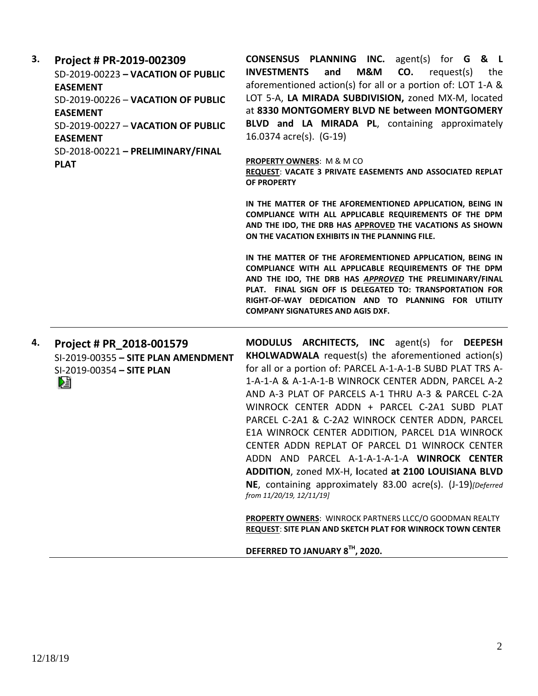| 3. | Project # PR-2019-002309<br>SD-2019-00223 - VACATION OF PUBLIC<br><b>EASEMENT</b><br>SD-2019-00226 - VACATION OF PUBLIC<br><b>EASEMENT</b><br>SD-2019-00227 - VACATION OF PUBLIC<br><b>EASEMENT</b><br>SD-2018-00221 - PRELIMINARY/FINAL<br><b>PLAT</b> | <b>CONSENSUS PLANNING INC.</b> agent(s) for <b>G &amp; L</b><br><b>INVESTMENTS</b><br>M&M<br>CO.<br>and<br>request(s)<br>the<br>aforementioned action(s) for all or a portion of: LOT 1-A &<br>LOT 5-A, LA MIRADA SUBDIVISION, zoned MX-M, located<br>at 8330 MONTGOMERY BLVD NE between MONTGOMERY<br>BLVD and LA MIRADA PL, containing approximately<br>16.0374 acre(s). (G-19)<br><b>PROPERTY OWNERS: M &amp; M CO</b><br>REQUEST: VACATE 3 PRIVATE EASEMENTS AND ASSOCIATED REPLAT<br>OF PROPERTY<br>IN THE MATTER OF THE AFOREMENTIONED APPLICATION, BEING IN<br>COMPLIANCE WITH ALL APPLICABLE REQUIREMENTS OF THE DPM<br>AND THE IDO, THE DRB HAS APPROVED THE VACATIONS AS SHOWN<br>ON THE VACATION EXHIBITS IN THE PLANNING FILE.<br>IN THE MATTER OF THE AFOREMENTIONED APPLICATION, BEING IN<br>COMPLIANCE WITH ALL APPLICABLE REQUIREMENTS OF THE DPM<br>AND THE IDO, THE DRB HAS APPROVED THE PRELIMINARY/FINAL<br>PLAT. FINAL SIGN OFF IS DELEGATED TO: TRANSPORTATION FOR<br>RIGHT-OF-WAY DEDICATION AND TO PLANNING FOR UTILITY<br><b>COMPANY SIGNATURES AND AGIS DXF.</b> |
|----|---------------------------------------------------------------------------------------------------------------------------------------------------------------------------------------------------------------------------------------------------------|--------------------------------------------------------------------------------------------------------------------------------------------------------------------------------------------------------------------------------------------------------------------------------------------------------------------------------------------------------------------------------------------------------------------------------------------------------------------------------------------------------------------------------------------------------------------------------------------------------------------------------------------------------------------------------------------------------------------------------------------------------------------------------------------------------------------------------------------------------------------------------------------------------------------------------------------------------------------------------------------------------------------------------------------------------------------------------------------|
| 4. | Project # PR 2018-001579<br>SI-2019-00355 - SITE PLAN AMENDMENT<br>SI-2019-00354 - SITE PLAN<br>熠                                                                                                                                                       | MODULUS ARCHITECTS, INC agent(s) for DEEPESH<br><b>KHOLWADWALA</b> request(s) the aforementioned action(s)<br>for all or a portion of: PARCEL A-1-A-1-B SUBD PLAT TRS A-<br>1-A-1-A & A-1-A-1-B WINROCK CENTER ADDN, PARCEL A-2<br>AND A-3 PLAT OF PARCELS A-1 THRU A-3 & PARCEL C-2A<br>WINROCK CENTER ADDN + PARCEL C-2A1 SUBD PLAT<br>PARCEL C-2A1 & C-2A2 WINROCK CENTER ADDN, PARCEL<br>E1A WINROCK CENTER ADDITION, PARCEL D1A WINROCK<br>CENTER ADDN REPLAT OF PARCEL D1 WINROCK CENTER<br>ADDN AND PARCEL A-1-A-1-A-1-A WINROCK CENTER<br>ADDITION, zoned MX-H, located at 2100 LOUISIANA BLVD<br>NE, containing approximately 83.00 acre(s). (J-19)[Deferred<br>from 11/20/19, 12/11/19]<br>PROPERTY OWNERS: WINROCK PARTNERS LLCC/O GOODMAN REALTY<br><b>REQUEST: SITE PLAN AND SKETCH PLAT FOR WINROCK TOWN CENTER</b><br>DEFERRED TO JANUARY 8TH, 2020.                                                                                                                                                                                                                        |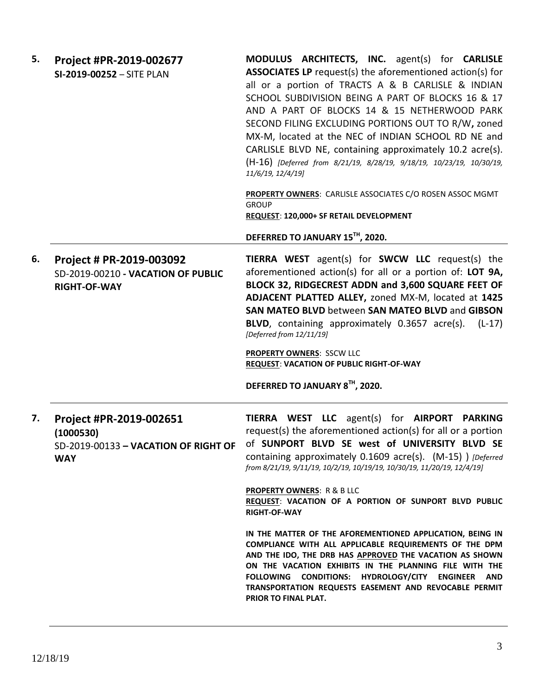| 5. | Project #PR-2019-002677<br>SI-2019-00252 - SITE PLAN                                       | MODULUS ARCHITECTS, INC. agent(s) for CARLISLE<br><b>ASSOCIATES LP</b> request(s) the aforementioned action(s) for<br>all or a portion of TRACTS A & B CARLISLE & INDIAN<br>SCHOOL SUBDIVISION BEING A PART OF BLOCKS 16 & 17<br>AND A PART OF BLOCKS 14 & 15 NETHERWOOD PARK<br>SECOND FILING EXCLUDING PORTIONS OUT TO R/W, zoned<br>MX-M, located at the NEC of INDIAN SCHOOL RD NE and<br>CARLISLE BLVD NE, containing approximately 10.2 acre(s).<br>(H-16) [Deferred from 8/21/19, 8/28/19, 9/18/19, 10/23/19, 10/30/19,<br>11/6/19, 12/4/19]<br>PROPERTY OWNERS: CARLISLE ASSOCIATES C/O ROSEN ASSOC MGMT<br><b>GROUP</b> |
|----|--------------------------------------------------------------------------------------------|----------------------------------------------------------------------------------------------------------------------------------------------------------------------------------------------------------------------------------------------------------------------------------------------------------------------------------------------------------------------------------------------------------------------------------------------------------------------------------------------------------------------------------------------------------------------------------------------------------------------------------|
|    |                                                                                            | REQUEST: 120,000+ SF RETAIL DEVELOPMENT                                                                                                                                                                                                                                                                                                                                                                                                                                                                                                                                                                                          |
|    |                                                                                            | DEFERRED TO JANUARY 15TH, 2020.                                                                                                                                                                                                                                                                                                                                                                                                                                                                                                                                                                                                  |
| 6. | Project # PR-2019-003092<br>SD-2019-00210 - VACATION OF PUBLIC<br><b>RIGHT-OF-WAY</b>      | <b>TIERRA WEST</b> agent(s) for <b>SWCW LLC</b> request(s) the<br>aforementioned action(s) for all or a portion of: LOT 9A,<br>BLOCK 32, RIDGECREST ADDN and 3,600 SQUARE FEET OF<br>ADJACENT PLATTED ALLEY, zoned MX-M, located at 1425<br>SAN MATEO BLVD between SAN MATEO BLVD and GIBSON<br><b>BLVD</b> , containing approximately 0.3657 acre(s).<br>$(L-17)$<br>[Deferred from 12/11/19]                                                                                                                                                                                                                                   |
|    |                                                                                            | <b>PROPERTY OWNERS: SSCW LLC</b><br><b>REQUEST: VACATION OF PUBLIC RIGHT-OF-WAY</b>                                                                                                                                                                                                                                                                                                                                                                                                                                                                                                                                              |
|    |                                                                                            | DEFERRED TO JANUARY 8TH, 2020.                                                                                                                                                                                                                                                                                                                                                                                                                                                                                                                                                                                                   |
| 7. | Project #PR-2019-002651<br>(1000530)<br>SD-2019-00133 - VACATION OF RIGHT OF<br><b>WAY</b> | TIERRA WEST LLC agent(s) for AIRPORT PARKING<br>request(s) the aforementioned action(s) for all or a portion<br>of SUNPORT BLVD SE west of UNIVERSITY BLVD SE<br>containing approximately 0.1609 acre(s). (M-15) ) [Deferred<br>from 8/21/19, 9/11/19, 10/2/19, 10/19/19, 10/30/19, 11/20/19, 12/4/19]                                                                                                                                                                                                                                                                                                                           |
|    |                                                                                            | <b>PROPERTY OWNERS: R &amp; B LLC</b><br>REQUEST: VACATION OF A PORTION OF SUNPORT BLVD PUBLIC<br><b>RIGHT-OF-WAY</b>                                                                                                                                                                                                                                                                                                                                                                                                                                                                                                            |
|    |                                                                                            | IN THE MATTER OF THE AFOREMENTIONED APPLICATION, BEING IN<br>COMPLIANCE WITH ALL APPLICABLE REQUIREMENTS OF THE DPM<br>AND THE IDO, THE DRB HAS APPROVED THE VACATION AS SHOWN<br>ON THE VACATION EXHIBITS IN THE PLANNING FILE WITH THE<br>CONDITIONS: HYDROLOGY/CITY ENGINEER<br><b>FOLLOWING</b><br>AND.<br>TRANSPORTATION REQUESTS EASEMENT AND REVOCABLE PERMIT<br>PRIOR TO FINAL PLAT.                                                                                                                                                                                                                                     |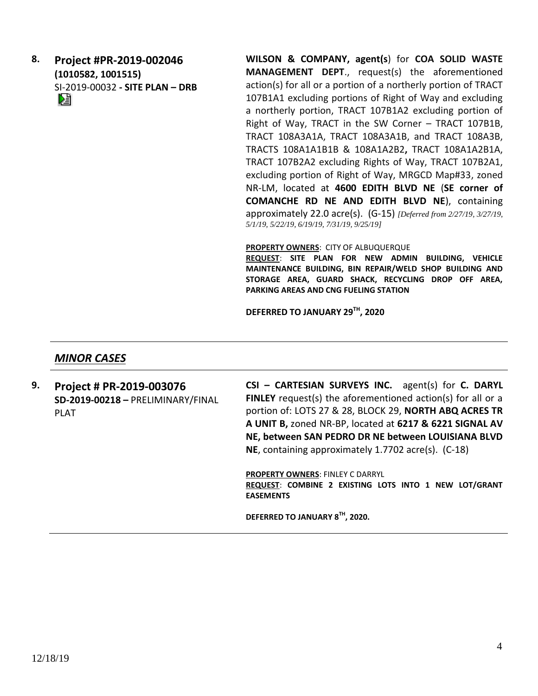**8. Project #PR-2019-002046 (1010582, 1001515)** SI-2019-00032 **- SITE PLAN – DRB** **WILSON & COMPANY, agent(s**) for **COA SOLID WASTE MANAGEMENT DEPT**., request(s) the aforementioned action(s) for all or a portion of a northerly portion of TRACT 107B1A1 excluding portions of Right of Way and excluding a northerly portion, TRACT 107B1A2 excluding portion of Right of Way, TRACT in the SW Corner – TRACT 107B1B, TRACT 108A3A1A, TRACT 108A3A1B, and TRACT 108A3B, TRACTS 108A1A1B1B & 108A1A2B2**,** TRACT 108A1A2B1A, TRACT 107B2A2 excluding Rights of Way, TRACT 107B2A1, excluding portion of Right of Way, MRGCD Map#33, zoned NR-LM, located at **4600 EDITH BLVD NE** (**SE corner of COMANCHE RD NE AND EDITH BLVD NE**), containing approximately 22.0 acre(s). (G-15) *[Deferred from 2/27/19, 3/27/19, 5/1/19, 5/22/19, 6/19/19, 7/31/19, 9/25/19]*

#### **PROPERTY OWNERS**: CITY OF ALBUQUERQUE

**REQUEST**: **SITE PLAN FOR NEW ADMIN BUILDING, VEHICLE MAINTENANCE BUILDING, BIN REPAIR/WELD SHOP BUILDING AND STORAGE AREA, GUARD SHACK, RECYCLING DROP OFF AREA, PARKING AREAS AND CNG FUELING STATION**

**DEFERRED TO JANUARY 29TH, 2020**

### *MINOR CASES*

**9. Project # PR-2019-003076 SD-2019-00218 –** PRELIMINARY/FINAL PLAT

**CSI – CARTESIAN SURVEYS INC.** agent(s) for **C. DARYL FINLEY** request(s) the aforementioned action(s) for all or a portion of: LOTS 27 & 28, BLOCK 29, **NORTH ABQ ACRES TR A UNIT B,** zoned NR-BP, located at **6217 & 6221 SIGNAL AV NE, between SAN PEDRO DR NE between LOUISIANA BLVD NE**, containing approximately 1.7702 acre(s). (C-18)

**PROPERTY OWNERS**: FINLEY C DARRYL **REQUEST**: **COMBINE 2 EXISTING LOTS INTO 1 NEW LOT/GRANT EASEMENTS**

**DEFERRED TO JANUARY 8TH, 2020.**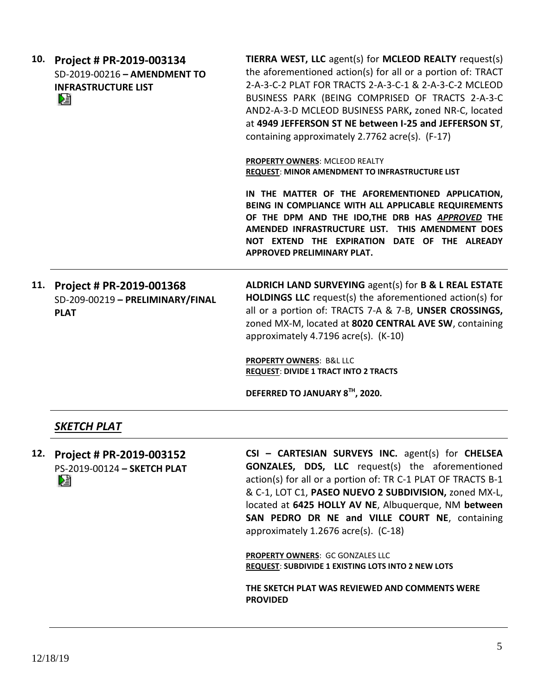| 10. | Project # PR-2019-003134<br>SD-2019-00216 - AMENDMENT TO<br><b>INFRASTRUCTURE LIST</b><br>DJ | TIERRA WEST, LLC agent(s) for MCLEOD REALTY request(s)<br>the aforementioned action(s) for all or a portion of: TRACT<br>2-A-3-C-2 PLAT FOR TRACTS 2-A-3-C-1 & 2-A-3-C-2 MCLEOD<br>BUSINESS PARK (BEING COMPRISED OF TRACTS 2-A-3-C<br>AND2-A-3-D MCLEOD BUSINESS PARK, zoned NR-C, located<br>at 4949 JEFFERSON ST NE between I-25 and JEFFERSON ST,<br>containing approximately 2.7762 acre(s). (F-17) |
|-----|----------------------------------------------------------------------------------------------|----------------------------------------------------------------------------------------------------------------------------------------------------------------------------------------------------------------------------------------------------------------------------------------------------------------------------------------------------------------------------------------------------------|
|     |                                                                                              | PROPERTY OWNERS: MCLEOD REALTY<br>REQUEST: MINOR AMENDMENT TO INFRASTRUCTURE LIST                                                                                                                                                                                                                                                                                                                        |
|     |                                                                                              | IN THE MATTER OF THE AFOREMENTIONED APPLICATION,<br>BEING IN COMPLIANCE WITH ALL APPLICABLE REQUIREMENTS<br>OF THE DPM AND THE IDO, THE DRB HAS APPROVED THE<br>AMENDED INFRASTRUCTURE LIST. THIS AMENDMENT DOES<br>NOT EXTEND THE EXPIRATION DATE OF THE ALREADY<br>APPROVED PRELIMINARY PLAT.                                                                                                          |
| 11. | Project # PR-2019-001368<br>SD-209-00219 - PRELIMINARY/FINAL<br><b>PLAT</b>                  | ALDRICH LAND SURVEYING agent(s) for B & L REAL ESTATE<br><b>HOLDINGS LLC</b> request(s) the aforementioned action(s) for<br>all or a portion of: TRACTS 7-A & 7-B, UNSER CROSSINGS,<br>zoned MX-M, located at 8020 CENTRAL AVE SW, containing<br>approximately 4.7196 acre(s). (K-10)                                                                                                                    |
|     |                                                                                              | <b>PROPERTY OWNERS: B&amp;L LLC</b><br><b>REQUEST: DIVIDE 1 TRACT INTO 2 TRACTS</b>                                                                                                                                                                                                                                                                                                                      |
|     |                                                                                              | DEFERRED TO JANUARY 8TH, 2020.                                                                                                                                                                                                                                                                                                                                                                           |
|     | SKETCH PLAT                                                                                  |                                                                                                                                                                                                                                                                                                                                                                                                          |

**12. Project # PR-2019-003152** PS-2019-00124 **– SKETCH PLAT**

**CSI – CARTESIAN SURVEYS INC.** agent(s) for **CHELSEA GONZALES, DDS, LLC** request(s) the aforementioned action(s) for all or a portion of: TR C-1 PLAT OF TRACTS B-1 & C-1, LOT C1, **PASEO NUEVO 2 SUBDIVISION,** zoned MX-L, located at **6425 HOLLY AV NE**, Albuquerque, NM **between SAN PEDRO DR NE and VILLE COURT NE**, containing approximately 1.2676 acre(s). (C-18)

**PROPERTY OWNERS**: GC GONZALES LLC **REQUEST**: **SUBDIVIDE 1 EXISTING LOTS INTO 2 NEW LOTS**

**THE SKETCH PLAT WAS REVIEWED AND COMMENTS WERE PROVIDED**